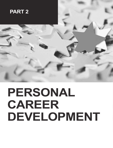

# **PERSONAL CAREER DEVELOPMENT**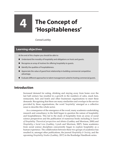## **4 The Concept of 'Hospitableness'**

*Conrad Lashley*

#### **Learning objectives**

At the end of this chapter you should be able to:

- Understand the morality of hospitality and obligations on hosts and guests.
- Recognise an array of motives for offering hospitality to guests.
- Identify the qualities of hospitableness.
- Appreciate the value of guest/host relationship in building commercial competitive advantage.
- Evaluate different approaches to talent management suited to hosting commercial guests.

### **Introduction**

Increased demand for eating, drinking and staying away from home over the last half century has resulted in a growth in the numbers of cafes, snack bars, restaurants, bars and hotels and other businesses organisations to meet these demands. Recognising that there are many similarities and overlaps in the service provided by these organisations, the word '*hospitality*' emerged as a collective noun to describe this whole sector.

As a consequence of the emergence of the word, many academics undertaking research and consultancy in the field began to question the nature of hospitality and hospitableness. This led to the study of hospitality from an array of social science perspectives and the publication of numerous books including *In Search of Hospitality: Theoretical perspectives and debates* (Lashley and Morrison, 2000) and *Hospitality a Social Lens* (Lashley, Lynch and Morrison, 2007). Some academics from social science disciplines concurrently began to explore hospitality as a human experience. The collaboration between these two groups of academics has resulted in, amongst other publications, the journal *Hospitality & Society*, and the upcoming *Hospitality Studies* (Lashley, 2017) in the Routledge Handbook series.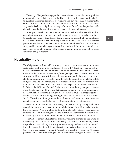The study of hospitality engages the notion of *hospitableness*, that is the qualities demonstrated by hosts to their guests. The requirement for hosts to offer shelter to guests is a common feature of all religions and can be seen as a fundamental strand of human morality. In practice, the motives for hospitality to others can vary and this chapter highlights a range of reasons for offering hospitality, with altruistic hospitality being the most consistent with hospitableness.

Attempts to develop an instrument to measure the hospitableness, although at an early stage, do suggest that some individuals are more prone to be hospitable to guests, than others. This chapter features one instrument that was developed based upon thirteen questions, using a seven point Likert scale. The chapter provided insights into the instrument and its potential benefit in both academic study and in commercial organisations. The relationship between host and guest can, when genuinely offered, be the source of competitive advantage because it cannot be easily replicated.

#### **Hospitality morality**

The obligation to be hospitable to strangers has been a constant feature of human social existence through time and across the world. All societies have something to say about strangers; mostly there is a moral obligation to welcome those from outside, and to '*turn the stranger into a friend'* (Selwyn, 2000). That said, fear of the stranger could be a powerful strand in any society, particularly when times are challenging. Some find it easier to blame the outsider rather than look to the selfish and greedy ruling elite that causes most of the problem. Oxfam, for example, estimate that in 2016 the world's one per cent own 50 per cent of the world's wealth. In Britain, the Office of National Statistics report that the top one per cent own more than 55 per cent of the poorest citizens. At the same time, as consequence of neo-liberalism, many middle and low-income families have seen wage rates fail to keep in line with costs of living, leading to a decline in living standards (Lashley 2017a). These inequalities, particularly for those on the lowest incomes, can cause anxieties and anger that fuels a fear of strangers and anti-hospitableness.

Most religions have either consciously, or unconsciously, recognised these potential tendencies and make it a moral obligation of the faithful to be hospitable to strangers. Without wishing to deny the multi-faith nature of most Western societies, the dominant religions of the faithful are Abrahamic in origin; both Christianity and Islam are founded on the Judaic scripts of the 'Old Testament'.

The Old Testament advocates the customary sharing of meals and as a way of distributing excess to the poor and the needy. The practice of hospitality in settings where it was unlikely that the guest could repay the host was fundamental. Indeed, many of the biblical stories advocate generosity by hosts in contexts where they could not expect repayment (Casselberry, 2009). For example, Abraham generously received three strangers who turned out to be angels (Genesis: 18). At